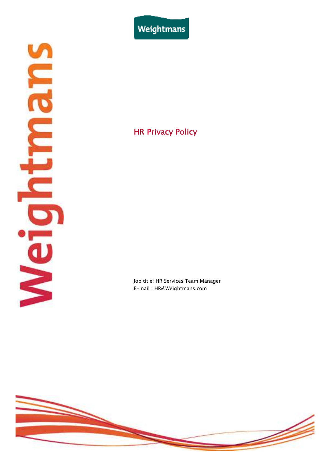Weightmans

# Suraningles

# HR Privacy Policy

Job title: HR Services Team Manager E-mail : HR@Weightmans.com

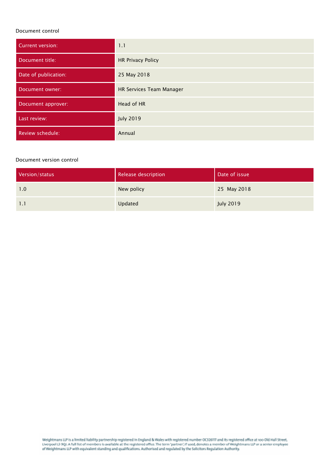### Document control

| <b>Current version:</b> | 1.1                      |
|-------------------------|--------------------------|
| Document title:         | <b>HR Privacy Policy</b> |
| Date of publication:    | 25 May 2018              |
| Document owner:         | HR Services Team Manager |
| Document approver:      | Head of HR               |
| Last review:            | <b>July 2019</b>         |
| Review schedule:        | Annual                   |

### Document version control

| Version/status | Release description | Date of issue    |
|----------------|---------------------|------------------|
| 1.0            | New policy          | 25 May 2018      |
| 1.1            | Updated             | <b>July 2019</b> |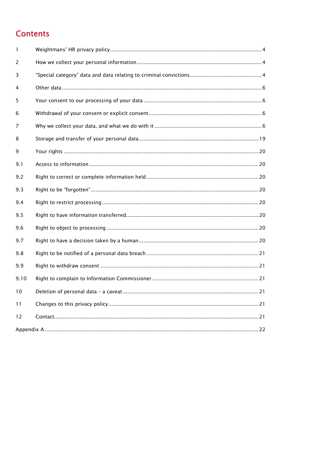# **Contents**

| $\mathbf{1}$      |  |
|-------------------|--|
| 2                 |  |
| 3                 |  |
| 4                 |  |
| 5                 |  |
| 6                 |  |
| 7                 |  |
| 8                 |  |
| 9                 |  |
| 9.1               |  |
| 9.2               |  |
| 9.3               |  |
| 9.4               |  |
| 9.5               |  |
| 9.6               |  |
| 9.7               |  |
| 9.8               |  |
| 9.9               |  |
| 9.10              |  |
| 10                |  |
| 11                |  |
| $12 \overline{ }$ |  |
|                   |  |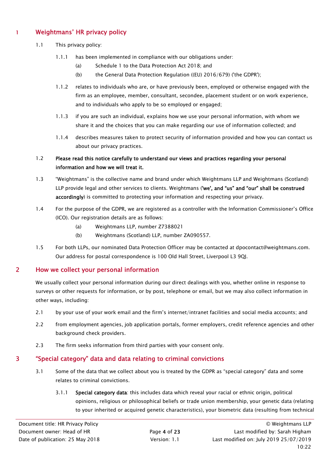# 1 Weightmans' HR privacy policy

- 1.1 This privacy policy:
	- 1.1.1 has been implemented in compliance with our obligations under:
		- (a) Schedule 1 to the Data Protection Act 2018; and
		- (b) the General Data Protection Regulation ((EU) 2016/679) ('the GDPR');
	- 1.1.2 relates to individuals who are, or have previously been, employed or otherwise engaged with the firm as an employee, member, consultant, secondee, placement student or on work experience, and to individuals who apply to be so employed or engaged;
	- 1.1.3 if you are such an individual, explains how we use your personal information, with whom we share it and the choices that you can make regarding our use of information collected; and
	- 1.1.4 describes measures taken to protect security of information provided and how you can contact us about our privacy practices.

# 1.2 Please read this notice carefully to understand our views and practices regarding your personal information and how we will treat it.

- 1.3 "Weightmans" is the collective name and brand under which Weightmans LLP and Weightmans (Scotland) LLP provide legal and other services to clients. Weightmans ('we', and "us" and "our" shall be construed accordingly) is committed to protecting your information and respecting your privacy.
- 1.4 For the purpose of the GDPR, we are registered as a controller with the Information Commissioner's Office (ICO). Our registration details are as follows:
	- (a) Weightmans LLP, number Z7388021
	- (b) Weightmans (Scotland) LLP, number ZA090557.
- 1.5 For both LLPs, our nominated Data Protection Officer may be contacted at dpocontact@weightmans.com. Our address for postal correspondence is 100 Old Hall Street, Liverpool L3 9QJ.

# 2 How we collect your personal information

We usually collect your personal information during our direct dealings with you, whether online in response to surveys or other requests for information, or by post, telephone or email, but we may also collect information in other ways, including:

- 2.1 by your use of your work email and the firm's internet/intranet facilities and social media accounts; and
- 2.2 from employment agencies, job application portals, former employers, credit reference agencies and other background check providers.
- 2.3 The firm seeks information from third parties with your consent only.

# 3 "Special category" data and data relating to criminal convictions

- 3.1 Some of the data that we collect about you is treated by the GDPR as "special category" data and some relates to criminal convictions.
	- 3.1.1 Special category data: this includes data which reveal your racial or ethnic origin, political opinions, religious or philosophical beliefs or trade union membership, your genetic data (relating to your inherited or acquired genetic characteristics), your biometric data (resulting from technical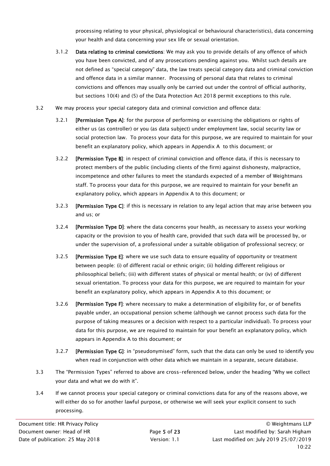processing relating to your physical, physiological or behavioural characteristics), data concerning your health and data concerning your sex life or sexual orientation.

- 3.1.2 Data relating to criminal convictions: We may ask you to provide details of any offence of which you have been convicted, and of any prosecutions pending against you. Whilst such details are not defined as "special category" data, the law treats special category data and criminal conviction and offence data in a similar manner. Processing of personal data that relates to criminal convictions and offences may usually only be carried out under the control of official authority, but sections 10(4) and (5) of the Data Protection Act 2018 permit exceptions to this rule.
- 3.2 We may process your special category data and criminal conviction and offence data:
	- 3.2.1 [Permission Type A]: for the purpose of performing or exercising the obligations or rights of either us (as controller) or you (as data subject) under employment law, social security law or social protection law. To process your data for this purpose, we are required to maintain for your benefit an explanatory policy, which appears in Appendix A to this document; or
	- 3.2.2 [Permission Type B]: in respect of criminal conviction and offence data, if this is necessary to protect members of the public (including clients of the firm) against dishonesty, malpractice, incompetence and other failures to meet the standards expected of a member of Weightmans staff. To process your data for this purpose, we are required to maintain for your benefit an explanatory policy, which appears in Appendix A to this document; or
	- 3.2.3 [Permission Type C]: if this is necessary in relation to any legal action that may arise between you and us; or
	- 3.2.4 **[Permission Type D]**: where the data concerns your health, as necessary to assess your working capacity or the provision to you of health care, provided that such data will be processed by, or under the supervision of, a professional under a suitable obligation of professional secrecy; or
	- 3.2.5 [Permission Type E]: where we use such data to ensure equality of opportunity or treatment between people: (i) of different racial or ethnic origin; (ii) holding different religious or philosophical beliefs; (iii) with different states of physical or mental health; or (iv) of different sexual orientation. To process your data for this purpose, we are required to maintain for your benefit an explanatory policy, which appears in Appendix A to this document; or
	- 3.2.6 **[Permission Type F**]: where necessary to make a determination of eligibility for, or of benefits payable under, an occupational pension scheme (although we cannot process such data for the purpose of taking measures or a decision with respect to a particular individual). To process your data for this purpose, we are required to maintain for your benefit an explanatory policy, which appears in Appendix A to this document; or
	- 3.2.7 [Permission Type G]: in "pseudonymised" form, such that the data can only be used to identify you when read in conjunction with other data which we maintain in a separate, secure database.
- 3.3 The "Permission Types" referred to above are cross-referenced below, under the heading "Why we collect your data and what we do with it".
- 3.4 If we cannot process your special category or criminal convictions data for any of the reasons above, we will either do so for another lawful purpose, or otherwise we will seek your explicit consent to such processing.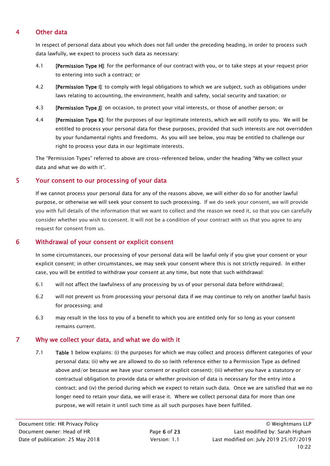# 4 Other data

In respect of personal data about you which does not fall under the preceding heading, in order to process such data lawfully, we expect to process such data as necessary:

- 4.1 [Permission Type H]: for the performance of our contract with you, or to take steps at your request prior to entering into such a contract; or
- 4.2 [Permission Type I]: to comply with legal obligations to which we are subject, such as obligations under laws relating to accounting, the environment, health and safety, social security and taxation; or
- 4.3 **[Permission Type J]**: on occasion, to protect your vital interests, or those of another person; or
- 4.4 [Permission Type K]: for the purposes of our legitimate interests, which we will notify to you. We will be entitled to process your personal data for these purposes, provided that such interests are not overridden by your fundamental rights and freedoms. As you will see below, you may be entitled to challenge our right to process your data in our legitimate interests.

The "Permission Types" referred to above are cross-referenced below, under the heading "Why we collect your data and what we do with it".

# 5 Your consent to our processing of your data

If we cannot process your personal data for any of the reasons above, we will either do so for another lawful purpose, or otherwise we will seek your consent to such processing. If we do seek your consent, we will provide you with full details of the information that we want to collect and the reason we need it, so that you can carefully consider whether you wish to consent. It will not be a condition of your contract with us that you agree to any request for consent from us.

# 6 Withdrawal of your consent or explicit consent

In some circumstances, our processing of your personal data will be lawful only if you give your consent or your explicit consent; in other circumstances, we may seek your consent where this is not strictly required. In either case, you will be entitled to withdraw your consent at any time, but note that such withdrawal:

- 6.1 will not affect the lawfulness of any processing by us of your personal data before withdrawal;
- 6.2 will not prevent us from processing your personal data if we may continue to rely on another lawful basis for processing; and
- 6.3 may result in the loss to you of a benefit to which you are entitled only for so long as your consent remains current.

# 7 Why we collect your data, and what we do with it

7.1 Table 1 below explains: (i) the purposes for which we may collect and process different categories of your personal data; (ii) why we are allowed to do so (with reference either to a Permission Type as defined above and/or because we have your consent or explicit consent); (iii) whether you have a statutory or contractual obligation to provide data or whether provision of data is necessary for the entry into a contract; and (iv) the period during which we expect to retain such data. Once we are satisfied that we no longer need to retain your data, we will erase it. Where we collect personal data for more than one purpose, we will retain it until such time as all such purposes have been fulfilled.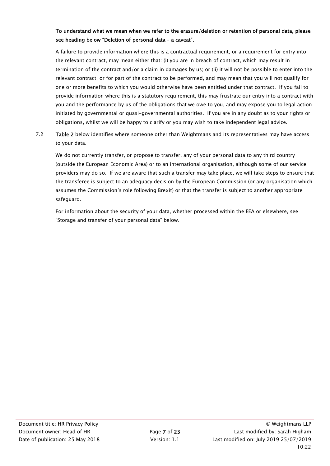# To understand what we mean when we refer to the erasure/deletion or retention of personal data, please see heading below "Deletion of personal data – a caveat".

A failure to provide information where this is a contractual requirement, or a requirement for entry into the relevant contract, may mean either that: (i) you are in breach of contract, which may result in termination of the contract and/or a claim in damages by us; or (ii) it will not be possible to enter into the relevant contract, or for part of the contract to be performed, and may mean that you will not qualify for one or more benefits to which you would otherwise have been entitled under that contract. If you fail to provide information where this is a statutory requirement, this may frustrate our entry into a contract with you and the performance by us of the obligations that we owe to you, and may expose you to legal action initiated by governmental or quasi-governmental authorities. If you are in any doubt as to your rights or obligations, whilst we will be happy to clarify or you may wish to take independent legal advice.

7.2 Table 2 below identifies where someone other than Weightmans and its representatives may have access to your data.

We do not currently transfer, or propose to transfer, any of your personal data to any third country (outside the European Economic Area) or to an international organisation, although some of our service providers may do so. If we are aware that such a transfer may take place, we will take steps to ensure that the transferee is subject to an adequacy decision by the European Commission (or any organisation which assumes the Commission's role following Brexit) or that the transfer is subject to another appropriate safeguard.

For information about the security of your data, whether processed within the EEA or elsewhere, see "Storage and transfer of your personal data" below.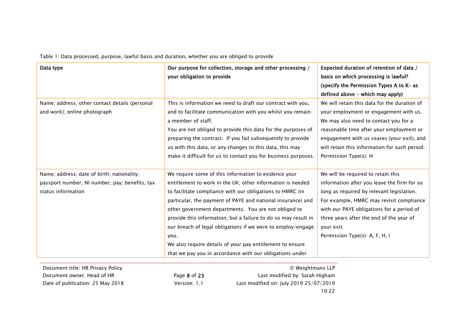Table 1: Data processed, purpose, lawful basis and duration, whether you are obliged to provide

| your obligation to provide                                                                                                                                                                                                                                                                                                                                                                                                                                                                                                                                               | basis on which processing is lawful?                                                                                                                                                                                                                                                                                |
|--------------------------------------------------------------------------------------------------------------------------------------------------------------------------------------------------------------------------------------------------------------------------------------------------------------------------------------------------------------------------------------------------------------------------------------------------------------------------------------------------------------------------------------------------------------------------|---------------------------------------------------------------------------------------------------------------------------------------------------------------------------------------------------------------------------------------------------------------------------------------------------------------------|
|                                                                                                                                                                                                                                                                                                                                                                                                                                                                                                                                                                          | (specify the Permission Types A to K- as                                                                                                                                                                                                                                                                            |
|                                                                                                                                                                                                                                                                                                                                                                                                                                                                                                                                                                          | defined above - which may apply)                                                                                                                                                                                                                                                                                    |
| This is information we need to draft our contract with you,                                                                                                                                                                                                                                                                                                                                                                                                                                                                                                              | We will retain this data for the duration of<br>your employment or engagement with us.                                                                                                                                                                                                                              |
| a member of staff.                                                                                                                                                                                                                                                                                                                                                                                                                                                                                                                                                       | We may also need to contact you for a                                                                                                                                                                                                                                                                               |
| You are not obliged to provide this data for the purposes of<br>preparing the contract. If you fail subsequently to provide<br>us with this data, or any changes to this data, this may<br>make it difficult for us to contact you for business purposes.                                                                                                                                                                                                                                                                                                                | reasonable time after your employment or<br>engagement with us ceases (your exit), and<br>will retain this information for such period.<br>Permission Type(s): H                                                                                                                                                    |
| We require some of this information to evidence your<br>entitlement to work in the UK; other information is needed<br>to facilitate compliance with our obligations to HMRC (in<br>particular, the payment of PAYE and national insurance) and<br>other government departments. You are not obliged to<br>provide this information, but a failure to do so may result in<br>our breach of legal obligations if we were to employ/engage<br>you.<br>We also require details of your pay entitlement to ensure<br>that we pay you in accordance with our obligations under | We will be required to retain this<br>information after you leave the firm for so<br>long as required by relevant legislation.<br>For example, HMRC may revisit compliance<br>with our PAYE obligations for a period of<br>three years after the end of the year of<br>your exit.<br>Permission Type(s): A, F, H, I |
|                                                                                                                                                                                                                                                                                                                                                                                                                                                                                                                                                                          | and to facilitate communication with you whilst you remain                                                                                                                                                                                                                                                          |

Document owner: Head of HR Page 8 of 23

8 of 23 **Brand Last modified by: Sarah Higham**  Date of publication: 25 May 2018 Version: 1.1 Last modified on: July 2019 25/07/2019 10:22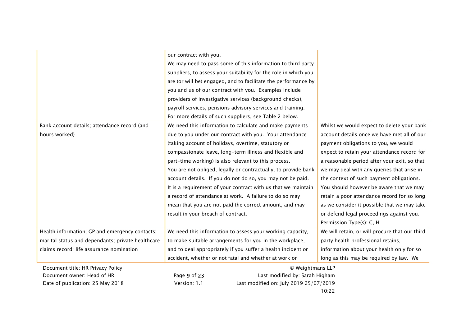|                                                   | our contract with you.                                          |                                                |
|---------------------------------------------------|-----------------------------------------------------------------|------------------------------------------------|
|                                                   | We may need to pass some of this information to third party     |                                                |
|                                                   | suppliers, to assess your suitability for the role in which you |                                                |
|                                                   | are (or will be) engaged, and to facilitate the performance by  |                                                |
|                                                   | you and us of our contract with you. Examples include           |                                                |
|                                                   | providers of investigative services (background checks),        |                                                |
|                                                   | payroll services, pensions advisory services and training.      |                                                |
|                                                   | For more details of such suppliers, see Table 2 below.          |                                                |
| Bank account details; attendance record (and      | We need this information to calculate and make payments         | Whilst we would expect to delete your bank     |
| hours worked)                                     | due to you under our contract with you. Your attendance         | account details once we have met all of our    |
|                                                   | (taking account of holidays, overtime, statutory or             | payment obligations to you, we would           |
|                                                   | compassionate leave, long-term illness and flexible and         | expect to retain your attendance record for    |
|                                                   | part-time working) is also relevant to this process.            | a reasonable period after your exit, so that   |
|                                                   | You are not obliged, legally or contractually, to provide bank  | we may deal with any queries that arise in     |
|                                                   | account details. If you do not do so, you may not be paid.      | the context of such payment obligations.       |
|                                                   | It is a requirement of your contract with us that we maintain   | You should however be aware that we may        |
|                                                   | a record of attendance at work. A failure to do so may          | retain a poor attendance record for so long    |
|                                                   | mean that you are not paid the correct amount, and may          | as we consider it possible that we may take    |
|                                                   | result in your breach of contract.                              | or defend legal proceedings against you.       |
|                                                   |                                                                 | Permission Type(s): C, H                       |
| Health information; GP and emergency contacts;    | We need this information to assess your working capacity,       | We will retain, or will procure that our third |
| marital status and dependants; private healthcare | to make suitable arrangements for you in the workplace,         | party health professional retains,             |
| claims record; life assurance nomination          |                                                                 |                                                |
|                                                   | and to deal appropriately if you suffer a health incident or    | information about your health only for so      |
|                                                   | accident, whether or not fatal and whether at work or           | long as this may be required by law. We        |
| Document title: HR Privacy Policy                 | © Weightmans LLP                                                |                                                |
| Document owner: Head of HR                        | Page 9 of 23<br>Last modified by: Sarah Higham                  |                                                |
| Date of publication: 25 May 2018                  | Version: 1.1<br>Last modified on: July 2019 25/07/2019          |                                                |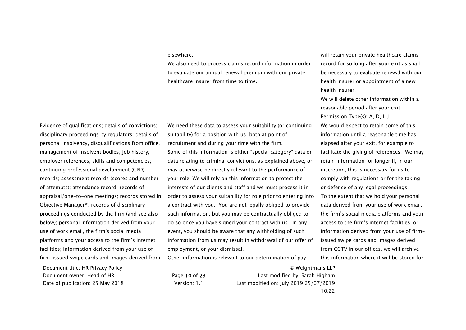|                                                     | elsewhere.                                                       | will retain your private healthcare claims   |
|-----------------------------------------------------|------------------------------------------------------------------|----------------------------------------------|
|                                                     | We also need to process claims record information in order       | record for so long after your exit as shall  |
|                                                     | to evaluate our annual renewal premium with our private          | be necessary to evaluate renewal with our    |
|                                                     | healthcare insurer from time to time.                            | health insurer or appointment of a new       |
|                                                     |                                                                  | health insurer.                              |
|                                                     |                                                                  | We will delete other information within a    |
|                                                     |                                                                  | reasonable period after your exit.           |
|                                                     |                                                                  | Permission Type(s): A, D, I, J               |
| Evidence of qualifications; details of convictions; | We need these data to assess your suitability (or continuing     | We would expect to retain some of this       |
| disciplinary proceedings by regulators; details of  | suitability) for a position with us, both at point of            | information until a reasonable time has      |
| personal insolvency, disqualifications from office, | recruitment and during your time with the firm.                  | elapsed after your exit, for example to      |
| management of insolvent bodies; job history;        | Some of this information is either "special category" data or    | facilitate the giving of references. We may  |
| employer references; skills and competencies;       | data relating to criminal convictions, as explained above, or    | retain information for longer if, in our     |
| continuing professional development (CPD)           | may otherwise be directly relevant to the performance of         | discretion, this is necessary for us to      |
| records; assessment records (scores and number      | your role. We will rely on this information to protect the       | comply with regulations or for the taking    |
| of attempts); attendance record; records of         | interests of our clients and staff and we must process it in     | or defence of any legal proceedings.         |
| appraisal/one-to-one meetings; records stored in    | order to assess your suitability for role prior to entering into | To the extent that we hold your personal     |
| Objective Manager®; records of disciplinary         | a contract with you. You are not legally obliged to provide      | data derived from your use of work email,    |
| proceedings conducted by the firm (and see also     | such information, but you may be contractually obliged to        | the firm's social media platforms and your   |
| below); personal information derived from your      | do so once you have signed your contract with us. In any         | access to the firm's internet facilities, or |
| use of work email, the firm's social media          | event, you should be aware that any withholding of such          | information derived from your use of firm-   |
| platforms and your access to the firm's internet    | information from us may result in withdrawal of our offer of     | issued swipe cards and images derived        |
| facilities; information derived from your use of    | employment, or your dismissal.                                   | from CCTV in our offices, we will archive    |
| firm-issued swipe cards and images derived from     | Other information is relevant to our determination of pay        | this information where it will be stored for |

Document title: HR Privacy Policy © Weightmans LLP Document owner: Head of HR Page 10 of 23 Last modified by: Sarah Higham Date of publication: 25 May 2018 Version: 1.1 Last modified on: July 2019 25/07/2019 10:22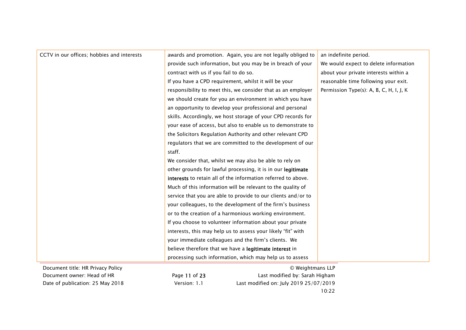| CCTV in our offices; hobbies and interests | awards and promotion. Again, you are not legally obliged to   | an indefinite period.                   |
|--------------------------------------------|---------------------------------------------------------------|-----------------------------------------|
|                                            | provide such information, but you may be in breach of your    | We would expect to delete information   |
|                                            | contract with us if you fail to do so.                        | about your private interests within a   |
|                                            | If you have a CPD requirement, whilst it will be your         | reasonable time following your exit.    |
|                                            | responsibility to meet this, we consider that as an employer  | Permission Type(s): A, B, C, H, I, J, K |
|                                            | we should create for you an environment in which you have     |                                         |
|                                            | an opportunity to develop your professional and personal      |                                         |
|                                            | skills. Accordingly, we host storage of your CPD records for  |                                         |
|                                            | your ease of access, but also to enable us to demonstrate to  |                                         |
|                                            | the Solicitors Regulation Authority and other relevant CPD    |                                         |
|                                            | regulators that we are committed to the development of our    |                                         |
|                                            | staff.                                                        |                                         |
|                                            | We consider that, whilst we may also be able to rely on       |                                         |
|                                            | other grounds for lawful processing, it is in our legitimate  |                                         |
|                                            | interests to retain all of the information referred to above. |                                         |
|                                            | Much of this information will be relevant to the quality of   |                                         |
|                                            | service that you are able to provide to our clients and/or to |                                         |
|                                            | your colleagues, to the development of the firm's business    |                                         |
|                                            | or to the creation of a harmonious working environment.       |                                         |
|                                            | If you choose to volunteer information about your private     |                                         |
|                                            | interests, this may help us to assess your likely "fit" with  |                                         |
|                                            | your immediate colleagues and the firm's clients. We          |                                         |
|                                            | believe therefore that we have a legitimate interest in       |                                         |
|                                            | processing such information, which may help us to assess      |                                         |
| Document title: HR Privacy Policy          | © Weightmans LLP                                              |                                         |

 Document owner: Head of HR Page 11 of 23 Last modified by: Sarah Higham Date of publication: 25 May 2018 Version: 1.1 Last modified on: July 2019 25/07/2019 10:22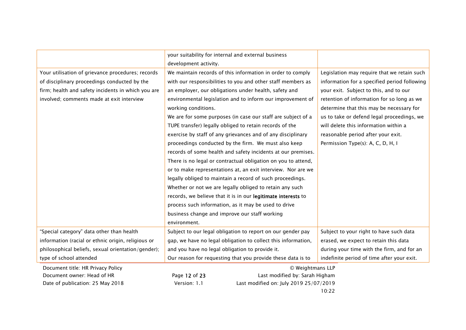|                                                    | your suitability for internal and external business           |                                              |
|----------------------------------------------------|---------------------------------------------------------------|----------------------------------------------|
|                                                    | development activity.                                         |                                              |
| Your utilisation of grievance procedures; records  | We maintain records of this information in order to comply    | Legislation may require that we retain such  |
| of disciplinary proceedings conducted by the       | with our responsibilities to you and other staff members as   | information for a specified period following |
| firm; health and safety incidents in which you are | an employer, our obligations under health, safety and         | your exit. Subject to this, and to our       |
| involved; comments made at exit interview          | environmental legislation and to inform our improvement of    | retention of information for so long as we   |
|                                                    | working conditions.                                           | determine that this may be necessary for     |
|                                                    | We are for some purposes (in case our staff are subject of a  | us to take or defend legal proceedings, we   |
|                                                    | TUPE transfer) legally obliged to retain records of the       | will delete this information within a        |
|                                                    | exercise by staff of any grievances and of any disciplinary   | reasonable period after your exit.           |
|                                                    | proceedings conducted by the firm. We must also keep          | Permission Type(s): A, C, D, H, I            |
|                                                    | records of some health and safety incidents at our premises.  |                                              |
|                                                    | There is no legal or contractual obligation on you to attend, |                                              |
|                                                    | or to make representations at, an exit interview. Nor are we  |                                              |
|                                                    | legally obliged to maintain a record of such proceedings.     |                                              |
|                                                    | Whether or not we are legally obliged to retain any such      |                                              |
|                                                    | records, we believe that it is in our legitimate interests to |                                              |
|                                                    | process such information, as it may be used to drive          |                                              |
|                                                    | business change and improve our staff working                 |                                              |
|                                                    | environment.                                                  |                                              |
| "Special category" data other than health          | Subject to our legal obligation to report on our gender pay   | Subject to your right to have such data      |
| information (racial or ethnic origin, religious or | gap, we have no legal obligation to collect this information, | erased, we expect to retain this data        |
| philosophical beliefs, sexual orientation/gender); | and you have no legal obligation to provide it.               | during your time with the firm, and for an   |
| type of school attended                            | Our reason for requesting that you provide these data is to   | indefinite period of time after your exit.   |
| Document title: HR Privacy Policy                  | © Weightmans LLP                                              |                                              |
| Document owner: Head of HR                         | Last modified by: Sarah Higham<br>Page 12 of 23               |                                              |
| Date of publication: 25 May 2018                   | Last modified on: July 2019 25/07/2019<br>Version: 1.1        |                                              |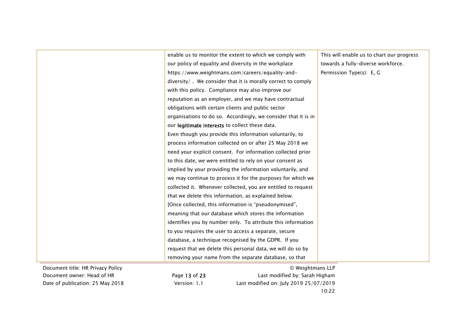|                                   | enable us to monitor the extent to which we comply with        | This will enable us to chart our progress |
|-----------------------------------|----------------------------------------------------------------|-------------------------------------------|
|                                   | our policy of equality and diversity in the workplace          | towards a fully-diverse workforce.        |
|                                   | https://www.weightmans.com/careers/equality-and-               | Permission Type(s): E, G                  |
|                                   | diversity/. We consider that it is morally correct to comply   |                                           |
|                                   | with this policy. Compliance may also improve our              |                                           |
|                                   | reputation as an employer, and we may have contractual         |                                           |
|                                   | obligations with certain clients and public sector             |                                           |
|                                   | organisations to do so. Accordingly, we consider that it is in |                                           |
|                                   | our legitimate interests to collect these data.                |                                           |
|                                   | Even though you provide this information voluntarily, to       |                                           |
|                                   | process information collected on or after 25 May 2018 we       |                                           |
|                                   | need your explicit consent. For information collected prior    |                                           |
|                                   | to this date, we were entitled to rely on your consent as      |                                           |
|                                   | implied by your providing the information voluntarily, and     |                                           |
|                                   | we may continue to process it for the purposes for which we    |                                           |
|                                   | collected it. Whenever collected, you are entitled to request  |                                           |
|                                   | that we delete this information, as explained below.           |                                           |
|                                   | [Once collected, this information is "pseudonymised",          |                                           |
|                                   | meaning that our database which stores the information         |                                           |
|                                   | identifies you by number only. To attribute this information   |                                           |
|                                   | to you requires the user to access a separate, secure          |                                           |
|                                   | database, a technique recognised by the GDPR. If you           |                                           |
|                                   | request that we delete this personal data, we will do so by    |                                           |
|                                   | removing your name from the separate database, so that         |                                           |
| Document title: HR Privacy Policy | © Weightmans LLP                                               |                                           |

 Document owner: Head of HR Page 13 of 23 Last modified by: Sarah Higham Date of publication: 25 May 2018 Version: 1.1 Last modified on: July 2019 25/07/2019 10:22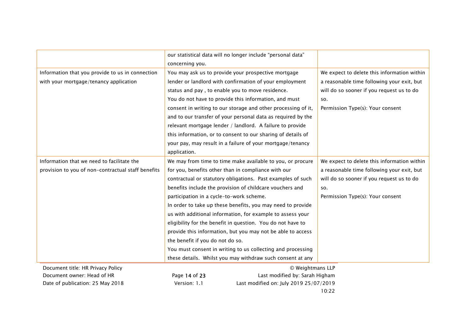|                                                    | our statistical data will no longer include "personal data"   |                                             |
|----------------------------------------------------|---------------------------------------------------------------|---------------------------------------------|
|                                                    | concerning you.                                               |                                             |
| Information that you provide to us in connection   | You may ask us to provide your prospective mortgage           | We expect to delete this information within |
| with your mortgage/tenancy application             | lender or landlord with confirmation of your employment       | a reasonable time following your exit, but  |
|                                                    | status and pay, to enable you to move residence.              | will do so sooner if you request us to do   |
|                                                    | You do not have to provide this information, and must         | SO.                                         |
|                                                    | consent in writing to our storage and other processing of it, | Permission Type(s): Your consent            |
|                                                    | and to our transfer of your personal data as required by the  |                                             |
|                                                    | relevant mortgage lender / landlord. A failure to provide     |                                             |
|                                                    | this information, or to consent to our sharing of details of  |                                             |
|                                                    | your pay, may result in a failure of your mortgage/tenancy    |                                             |
|                                                    | application.                                                  |                                             |
| Information that we need to facilitate the         | We may from time to time make available to you, or procure    | We expect to delete this information within |
| provision to you of non-contractual staff benefits | for you, benefits other than in compliance with our           | a reasonable time following your exit, but  |
|                                                    | contractual or statutory obligations. Past examples of such   | will do so sooner if you request us to do   |
|                                                    | benefits include the provision of childcare vouchers and      | SO.                                         |
|                                                    | participation in a cycle-to-work scheme.                      | Permission Type(s): Your consent            |
|                                                    | In order to take up these benefits, you may need to provide   |                                             |
|                                                    | us with additional information, for example to assess your    |                                             |
|                                                    | eligibility for the benefit in question. You do not have to   |                                             |
|                                                    | provide this information, but you may not be able to access   |                                             |
|                                                    | the benefit if you do not do so.                              |                                             |
|                                                    | You must consent in writing to us collecting and processing   |                                             |
|                                                    | these details. Whilst you may withdraw such consent at any    |                                             |
| Document title: HR Privacy Policy                  | © Weightmans LLP                                              |                                             |
| Document owner: Head of HR                         | Page 14 of 23<br>Last modified by: Sarah Higham               |                                             |
| Date of publication: 25 May 2018                   | Version: 1.1<br>Last modified on: July 2019 25/07/2019        |                                             |

10:22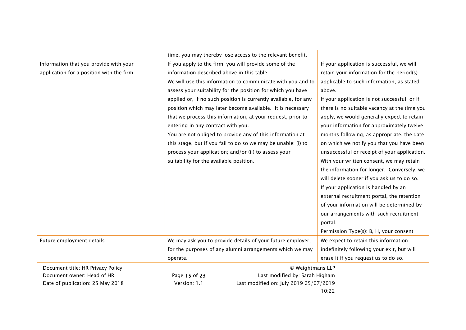|                                          | time, you may thereby lose access to the relevant benefit.      |                                              |
|------------------------------------------|-----------------------------------------------------------------|----------------------------------------------|
| Information that you provide with your   | If you apply to the firm, you will provide some of the          | If your application is successful, we will   |
| application for a position with the firm | information described above in this table.                      | retain your information for the period(s)    |
|                                          | We will use this information to communicate with you and to     | applicable to such information, as stated    |
|                                          | assess your suitability for the position for which you have     | above.                                       |
|                                          | applied or, if no such position is currently available, for any | If your application is not successful, or if |
|                                          | position which may later become available. It is necessary      | there is no suitable vacancy at the time you |
|                                          | that we process this information, at your request, prior to     | apply, we would generally expect to retain   |
|                                          | entering in any contract with you.                              | your information for approximately twelve    |
|                                          | You are not obliged to provide any of this information at       | months following, as appropriate, the date   |
|                                          | this stage, but if you fail to do so we may be unable: (i) to   | on which we notify you that you have been    |
|                                          | process your application; and/or (ii) to assess your            | unsuccessful or receipt of your application. |
|                                          | suitability for the available position.                         | With your written consent, we may retain     |
|                                          |                                                                 | the information for longer. Conversely, we   |
|                                          |                                                                 | will delete sooner if you ask us to do so.   |
|                                          |                                                                 | If your application is handled by an         |
|                                          |                                                                 | external recruitment portal, the retention   |
|                                          |                                                                 | of your information will be determined by    |
|                                          |                                                                 | our arrangements with such recruitment       |
|                                          |                                                                 | portal.                                      |
|                                          |                                                                 | Permission Type(s): B, H, your consent       |
| Future employment details                | We may ask you to provide details of your future employer,      | We expect to retain this information         |
|                                          | for the purposes of any alumni arrangements which we may        | indefinitely following your exit, but will   |
|                                          | operate.                                                        | erase it if you request us to do so.         |
| Document title: HR Privacy Policy        | © Weightmans LLP                                                |                                              |
| Document owner: Head of HR               | Last modified by: Sarah Higham<br>Page 15 of 23                 |                                              |
| Date of publication: 25 May 2018         | Last modified on: July 2019 25/07/2019<br>Version: 1.1          |                                              |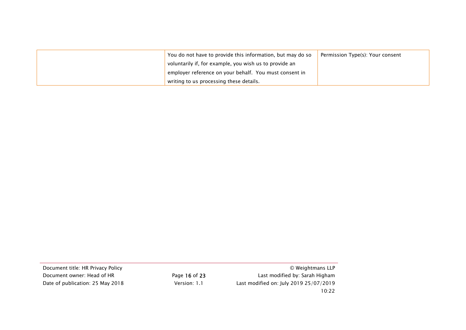| You do not have to provide this information, but may do so | Permission Type(s): Your consent |
|------------------------------------------------------------|----------------------------------|
| voluntarily if, for example, you wish us to provide an     |                                  |
| employer reference on your behalf. You must consent in     |                                  |
| writing to us processing these details.                    |                                  |

Document title: HR Privacy Policy © Weightmans LLPDocument owner: Head of HR Page 16 of 23 Last modified by: Sarah Higham Date of publication: 25 May 2018 Version: 1.1 Last modified on: July 2019 25/07/2019 10:22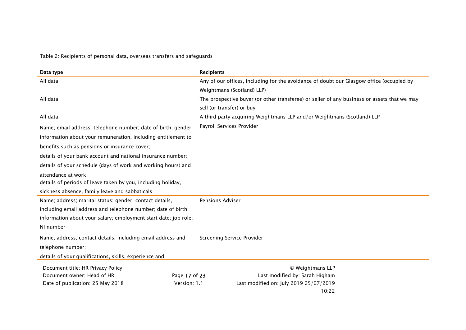Table 2: Recipients of personal data, overseas transfers and safeguards

| Data type                                                       | <b>Recipients</b>                                                                           |  |
|-----------------------------------------------------------------|---------------------------------------------------------------------------------------------|--|
| All data                                                        | Any of our offices, including for the avoidance of doubt our Glasgow office (occupied by    |  |
|                                                                 | Weightmans (Scotland) LLP)                                                                  |  |
| All data                                                        | The prospective buyer (or other transferee) or seller of any business or assets that we may |  |
|                                                                 | sell (or transfer) or buy                                                                   |  |
| All data                                                        | A third party acquiring Weightmans LLP and/or Weightmans (Scotland) LLP                     |  |
| Name; email address; telephone number; date of birth; gender;   | Payroll Services Provider                                                                   |  |
| information about your remuneration, including entitlement to   |                                                                                             |  |
| benefits such as pensions or insurance cover;                   |                                                                                             |  |
| details of your bank account and national insurance number;     |                                                                                             |  |
| details of your schedule (days of work and working hours) and   |                                                                                             |  |
| attendance at work;                                             |                                                                                             |  |
| details of periods of leave taken by you, including holiday,    |                                                                                             |  |
| sickness absence, family leave and sabbaticals                  |                                                                                             |  |
| Name; address; marital status; gender; contact details,         | <b>Pensions Adviser</b>                                                                     |  |
| including email address and telephone number; date of birth;    |                                                                                             |  |
| information about your salary; employment start date; job role; |                                                                                             |  |
| NI number                                                       |                                                                                             |  |
| Name; address; contact details, including email address and     | <b>Screening Service Provider</b>                                                           |  |
| telephone number;                                               |                                                                                             |  |
| details of your qualifications, skills, experience and          |                                                                                             |  |
| Document title: HR Privacy Policy<br>© Weightmans LLP           |                                                                                             |  |
| $P_{200}$ 17 of 23<br>Document owner: Head of HD                | Last modified by: Sarah Higham                                                              |  |

Document owner: Head of HR **Page 17 of 23** Last modified by: Sarah Higham Date of publication: 25 May 2018 Version: 1.1 Last modified on: July 2019 25/07/2019

10:22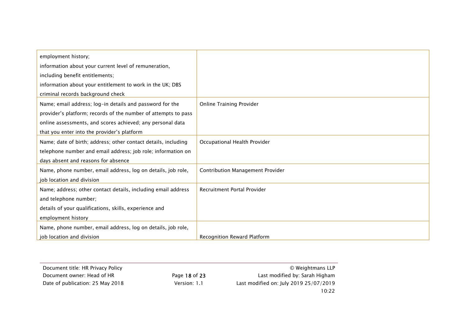| employment history;                                            |                                         |
|----------------------------------------------------------------|-----------------------------------------|
| information about your current level of remuneration,          |                                         |
| including benefit entitlements;                                |                                         |
| information about your entitlement to work in the UK; DBS      |                                         |
| criminal records background check                              |                                         |
| Name; email address; log-in details and password for the       | <b>Online Training Provider</b>         |
| provider's platform; records of the number of attempts to pass |                                         |
| online assessments, and scores achieved; any personal data     |                                         |
| that you enter into the provider's platform                    |                                         |
| Name; date of birth; address; other contact details, including | Occupational Health Provider            |
| telephone number and email address; job role; information on   |                                         |
| days absent and reasons for absence                            |                                         |
| Name, phone number, email address, log on details, job role,   | <b>Contribution Management Provider</b> |
| job location and division                                      |                                         |
| Name; address; other contact details, including email address  | Recruitment Portal Provider             |
| and telephone number;                                          |                                         |
| details of your qualifications, skills, experience and         |                                         |
| employment history                                             |                                         |
| Name, phone number, email address, log on details, job role,   |                                         |
| job location and division                                      | Recognition Reward Platform             |

| Document title: HR Privacy Policy |               | © Weightmans LLP                       |
|-----------------------------------|---------------|----------------------------------------|
| Document owner: Head of HR        | Page 18 of 23 | Last modified by: Sarah Higham         |
| Date of publication: 25 May 2018  | Version: 1.1  | Last modified on: July 2019 25/07/2019 |
|                                   |               | 10:22                                  |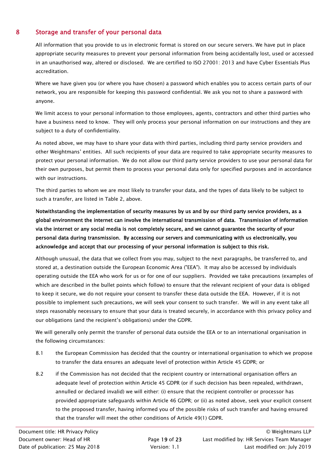# 8 Storage and transfer of your personal data

All information that you provide to us in electronic format is stored on our secure servers. We have put in place appropriate security measures to prevent your personal information from being accidentally lost, used or accessed in an unauthorised way, altered or disclosed. We are certified to ISO 27001: 2013 and have Cyber Essentials Plus accreditation.

Where we have given you (or where you have chosen) a password which enables you to access certain parts of our network, you are responsible for keeping this password confidential. We ask you not to share a password with anyone.

We limit access to your personal information to those employees, agents, contractors and other third parties who have a business need to know. They will only process your personal information on our instructions and they are subject to a duty of confidentiality.

As noted above, we may have to share your data with third parties, including third party service providers and other Weightmans' entities. All such recipients of your data are required to take appropriate security measures to protect your personal information. We do not allow our third party service providers to use your personal data for their own purposes, but permit them to process your personal data only for specified purposes and in accordance with our instructions.

The third parties to whom we are most likely to transfer your data, and the types of data likely to be subject to such a transfer, are listed in Table 2, above.

Notwithstanding the implementation of security measures by us and by our third party service providers, as a global environment the internet can involve the international transmission of data. Transmission of information via the internet or any social media is not completely secure, and we cannot guarantee the security of your personal data during transmission. By accessing our servers and communicating with us electronically, you acknowledge and accept that our processing of your personal information is subject to this risk.

Although unusual, the data that we collect from you may, subject to the next paragraphs, be transferred to, and stored at, a destination outside the European Economic Area ("EEA"). It may also be accessed by individuals operating outside the EEA who work for us or for one of our suppliers. Provided we take precautions (examples of which are described in the bullet points which follow) to ensure that the relevant recipient of your data is obliged to keep it secure, we do not require your consent to transfer these data outside the EEA. However, if it is not possible to implement such precautions, we will seek your consent to such transfer. We will in any event take all steps reasonably necessary to ensure that your data is treated securely, in accordance with this privacy policy and our obligations (and the recipient's obligations) under the GDPR.

We will generally only permit the transfer of personal data outside the EEA or to an international organisation in the following circumstances:

- 8.1 the European Commission has decided that the country or international organisation to which we propose to transfer the data ensures an adequate level of protection within Article 45 GDPR; or
- 8.2 if the Commission has not decided that the recipient country or international organisation offers an adequate level of protection within Article 45 GDPR (or if such decision has been repealed, withdrawn, annulled or declared invalid) we will either: (i) ensure that the recipient controller or processor has provided appropriate safeguards within Article 46 GDPR; or (ii) as noted above, seek your explicit consent to the proposed transfer, having informed you of the possible risks of such transfer and having ensured that the transfer will meet the other conditions of Article 49(1) GDPR.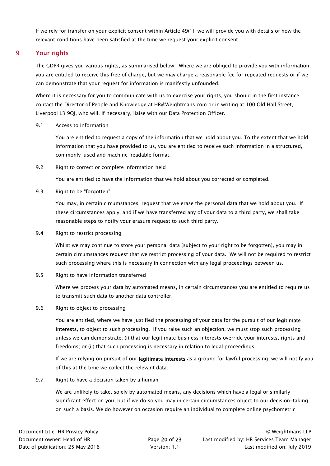If we rely for transfer on your explicit consent within Article 49(1), we will provide you with details of how the relevant conditions have been satisfied at the time we request your explicit consent.

# 9 Your rights

The GDPR gives you various rights, as summarised below. Where we are obliged to provide you with information, you are entitled to receive this free of charge, but we may charge a reasonable fee for repeated requests or if we can demonstrate that your request for information is manifestly unfounded.

Where it is necessary for you to communicate with us to exercise your rights, you should in the first instance contact the Director of People and Knowledge at HR@Weightmans.com or in writing at 100 Old Hall Street, Liverpool L3 9QJ, who will, if necessary, liaise with our Data Protection Officer.

### 9.1 Access to information

You are entitled to request a copy of the information that we hold about you. To the extent that we hold information that you have provided to us, you are entitled to receive such information in a structured, commonly-used and machine-readable format.

9.2 Right to correct or complete information held

You are entitled to have the information that we hold about you corrected or completed.

9.3 Right to be "forgotten"

You may, in certain circumstances, request that we erase the personal data that we hold about you. If these circumstances apply, and if we have transferred any of your data to a third party, we shall take reasonable steps to notify your erasure request to such third party.

9.4 Right to restrict processing

Whilst we may continue to store your personal data (subject to your right to be forgotten), you may in certain circumstances request that we restrict processing of your data. We will not be required to restrict such processing where this is necessary in connection with any legal proceedings between us.

9.5 Right to have information transferred

Where we process your data by automated means, in certain circumstances you are entitled to require us to transmit such data to another data controller.

### 9.6 Right to object to processing

You are entitled, where we have justified the processing of your data for the pursuit of our legitimate interests, to object to such processing. If you raise such an objection, we must stop such processing unless we can demonstrate: (i) that our legitimate business interests override your interests, rights and freedoms; or (ii) that such processing is necessary in relation to legal proceedings.

If we are relying on pursuit of our legitimate interests as a ground for lawful processing, we will notify you of this at the time we collect the relevant data.

9.7 Right to have a decision taken by a human

We are unlikely to take, solely by automated means, any decisions which have a legal or similarly significant effect on you, but if we do so you may in certain circumstances object to our decision-taking on such a basis. We do however on occasion require an individual to complete online psychometric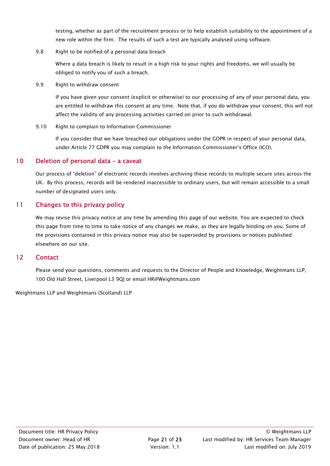testing, whether as part of the recruitment process or to help establish suitability to the appointment of a new role within the firm. The results of such a test are typically analysed using software.

9.8 Right to be notified of a personal data breach

Where a data breach is likely to result in a high risk to your rights and freedoms, we will usually be obliged to notify you of such a breach.

9.9 Right to withdraw consent

If you have given your consent (explicit or otherwise) to our processing of any of your personal data, you are entitled to withdraw this consent at any time. Note that, if you do withdraw your consent, this will not affect the validity of any processing activities carried on prior to such withdrawal.

9.10 Right to complain to Information Commissioner

If you consider that we have breached our obligations under the GDPR in respect of your personal data, under Article 77 GDPR you may complain to the Information Commissioner's Office (ICO).

# 10 Deletion of personal data - a caveat

Our process of "deletion" of electronic records involves archiving these records to multiple secure sites across the UK. By this process, records will be rendered inaccessible to ordinary users, but will remain accessible to a small number of designated users only.

# 11 Changes to this privacy policy

We may revise this privacy notice at any time by amending this page of our website. You are expected to check this page from time to time to take notice of any changes we make, as they are legally binding on you. Some of the provisions contained in this privacy notice may also be superseded by provisions or notices published elsewhere on our site.

## 12 Contact

Please send your questions, comments and requests to the Director of People and Knowledge, Weightmans LLP, 100 Old Hall Street, Liverpool L3 9QJ or email HR@Weightmans.com

Weightmans LLP and Weightmans (Scotland) LLP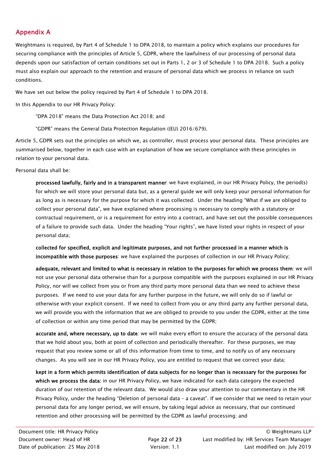# Appendix A

Weightmans is required, by Part 4 of Schedule 1 to DPA 2018, to maintain a policy which explains our procedures for securing compliance with the principles of Article 5, GDPR, where the lawfulness of our processing of personal data depends upon our satisfaction of certain conditions set out in Parts 1, 2 or 3 of Schedule 1 to DPA 2018. Such a policy must also explain our approach to the retention and erasure of personal data which we process in reliance on such conditions.

We have set out below the policy required by Part 4 of Schedule 1 to DPA 2018.

In this Appendix to our HR Privacy Policy:

"DPA 2018" means the Data Protection Act 2018; and

"GDPR" means the General Data Protection Regulation ((EU) 2016/679).

Article 5, GDPR sets out the principles on which we, as controller, must process your personal data. These principles are summarised below, together in each case with an explanation of how we secure compliance with these principles in relation to your personal data.

Personal data shall be:

processed lawfully, fairly and in a transparent manner: we have explained, in our HR Privacy Policy, the period(s) for which we will store your personal data but, as a general guide we will only keep your personal information for as long as is necessary for the purpose for which it was collected. Under the heading "What if we are obliged to collect your personal data", we have explained where processing is necessary to comply with a statutory or contractual requirement, or is a requirement for entry into a contract, and have set out the possible consequences of a failure to provide such data. Under the heading "Your rights", we have listed your rights in respect of your personal data;

collected for specified, explicit and legitimate purposes, and not further processed in a manner which is incompatible with those purposes: we have explained the purposes of collection in our HR Privacy Policy;

adequate, relevant and limited to what is necessary in relation to the purposes for which we process them: we will not use your personal data otherwise than for a purpose compatible with the purposes explained in our HR Privacy Policy, nor will we collect from you or from any third party more personal data than we need to achieve these purposes. If we need to use your data for any further purpose in the future, we will only do so if lawful or otherwise with your explicit consent. If we need to collect from you or any third party any further personal data, we will provide you with the information that we are obliged to provide to you under the GDPR, either at the time of collection or within any time period that may be permitted by the GDPR;

accurate and, where necessary, up to date: we will make every effort to ensure the accuracy of the personal data that we hold about you, both at point of collection and periodically thereafter. For these purposes, we may request that you review some or all of this information from time to time, and to notify us of any necessary changes. As you will see in our HR Privacy Policy, you are entitled to request that we correct your data;

kept in a form which permits identification of data subjects for no longer than is necessary for the purposes for which we process the data: in our HR Privacy Policy, we have indicated for each data category the expected duration of our retention of the relevant data. We would also draw your attention to our commentary in the HR Privacy Policy, under the heading "Deletion of personal data – a caveat". If we consider that we need to retain your personal data for any longer period, we will ensure, by taking legal advice as necessary, that our continued retention and other processing will be permitted by the GDPR as lawful processing; and